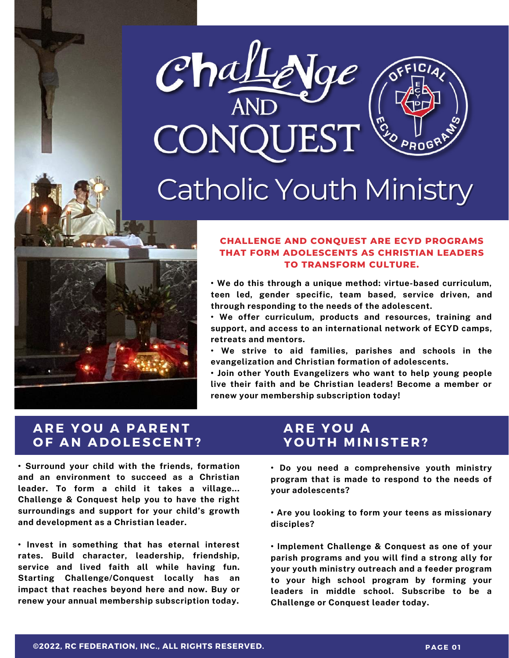

## Catholic Youth Ministry



#### **CHALLENGE AND CONQUEST ARE ECYD PROGRAMS THAT FORM ADOLESCENTS AS CHRISTIAN LEADERS TO TRANSFORM CULTURE.**

**• We do this through a unique method: virtue-based curriculum, teen led, gender specific, team based, service driven, and through responding to the needs of the adolescent.**

**• We offer curriculum, products and resources, training and support, and access to an international network of ECYD camps, retreats and mentors.**

**• We strive to aid families, parishes and schools in the evangelization and Christian formation of adolescents.**

**• Join other Youth Evangelizers who want to help young people live their faith and be Christian leaders! Become a member or renew your membership subscription today!**

## **A R E Y O U A P A R E N T O F A N A D O LESCE N T ?**

**• Surround your child with the friends, formation and an environment to succeed as a Christian leader. To form a child it takes a village... Challenge & Conquest help you to have the right surroundings and support for your child's growth and development as a Christian leader.**

**• Invest in something that has eternal interest rates. Build character, leadership, friendship, service and lived faith all while having fun. Starting Challenge/Conquest locally has an impact that reaches beyond here and now. Buy or renew your annual membership subscription today.**

## **A R E Y O U A Y O U T H M I N ISTE R ?**

**• Do you need a comprehensive youth ministry program that is made to respond to the needs of your adolescents?**

**• Are you looking to form your teens as missionary disciples?**

**• Implement Challenge & Conquest as one of your parish programs and you will find a strong ally for your youth ministry outreach and a feeder program to your high school program by forming your leaders in middle school. Subscribe to be a Challenge or Conquest leader today.**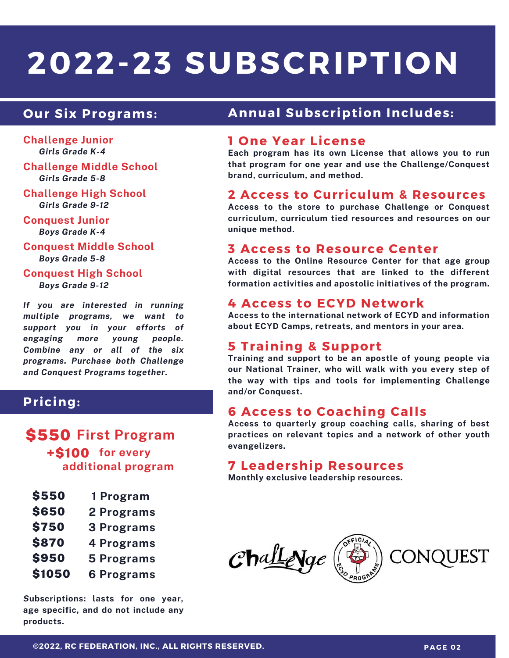# **2022-23 SUBSCRIPTION**

**Challenge Junior** *Girls Grade K-4*

**Challenge Middle School** *Girls Grade 5-8*

**Challenge High School** *Girls Grade 9-12*

**Conquest Junior** *Boys Grade K-4*

**Conquest Middle School** *Boys Grade 5-8*

**Conquest High School** *Boys Grade 9-12*

*If you are interested in running multiple programs, we want to support you in your efforts of engaging more young people. Combine any or all of the six programs. Purchase both Challenge and Conquest Programs together.*

#### **Pricing:**

\$550 **First Program** +\$100 **for every additional program**

| <b>\$550</b> | 1 Program  |
|--------------|------------|
| <b>\$650</b> | 2 Programs |
| <b>\$750</b> | 3 Programs |

- **4 Programs** \$870
- **5 Programs** \$950
- **6 Programs** \$1050

*S***ubscriptions: lasts for one year, age specific, and do not include any products.**

### **Our Six Programs: Annual Subscription Includes:**

#### **1 One Year License**

**Each program has its own License that allows you to run that program for one year and use the Challenge/Conquest brand, curriculum, and method.**

#### **2 Access to Curriculum & Resources**

**Access to the store to purchase Challenge or Conquest curriculum, curriculum tied resources and resources on our unique method.**

#### **3 Access to Resource Center**

**Access to the Online Resource Center for that age group with digital resources that are linked to the different formation activities and apostolic initiatives of the program.**

#### **4 Access to ECYD Network**

**Access to the international network of ECYD and information about ECYD Camps, retreats, and mentors in your area.**

#### **5 Training & Support**

**Training and support to be an apostle of young people via our National Trainer, who will walk with you every step of the way with tips and tools for implementing Challenge and/or Conquest.**

#### **6 Access to Coaching Calls**

**Access to quarterly group coaching calls, sharing of best practices on relevant topics and a network of other youth evangelizers.**

#### **7 Leadership Resources**

**Monthly exclusive leadership resources.**

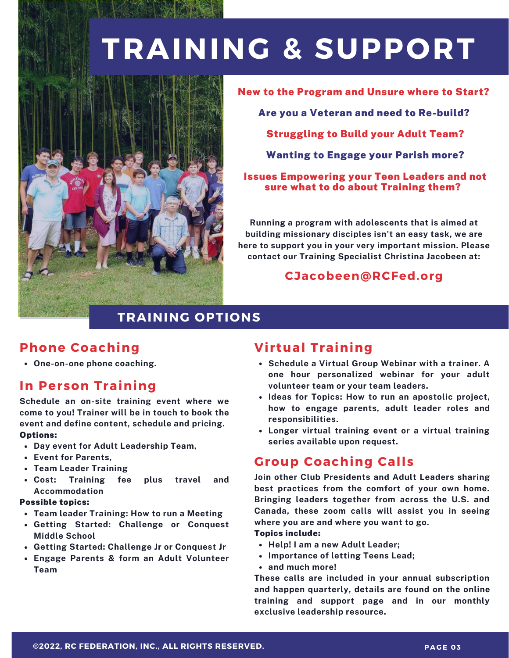## **TRAINING & SUPPORT**



New to the Program and Unsure where to Start? Are you a Veteran and need to Re-build? Struggling to Build your Adult Team? Wanting to Engage your Parish more? Issues Empowering your Teen Leaders and not sure what to do about Training them?

**Running a program with adolescents that is aimed at building missionary disciples isn't an easy task, we are here to support you in your very important mission. Please contact our Training Specialist Christina Jacobeen at:**

#### **CJacobeen@RCFed.org**

## **TRAINING OPTIONS**

## **Phone Coaching**

**One-on-one phone coaching.**

### **In Person Training**

**Schedule an on-site training event where we come to you! Trainer will be in touch to book the event and define content, schedule and pricing.** Options:

- **Day event for Adult Leadership Team,**
- **Event for Parents,**
- **Team Leader Training**
- **Cost: Training fee plus travel and Accommodation**

#### Possible topics:

- **Team leader Training: How to run a Meeting**
- **Getting Started: Challenge or Conquest Middle School**
- **Getting Started: Challenge Jr or Conquest Jr**
- **Engage Parents & form an Adult Volunteer Team**

## **Virtual Training**

- **Schedule a Virtual Group Webinar with a trainer. A one hour personalized webinar for your adult volunteer team or your team leaders.**
- **Ideas for Topics: How to run an apostolic project, how to engage parents, adult leader roles and responsibilities.**
- **Longer virtual training event or a virtual training series available upon request.**

### **Group Coaching Calls**

**Join other Club Presidents and Adult Leaders sharing best practices from the comfort of your own home. Bringing leaders together from across the U.S. and Canada, these zoom calls will assist you in seeing where you are and where you want to go.**

#### Topics include:

- **Help! I am a new Adult Leader;**
- **Importance of letting Teens Lead;**
- **and much more!**

**These calls are included in your annual subscription and happen quarterly, details are found on the online training and support page and in our monthly exclusive leadership resource.**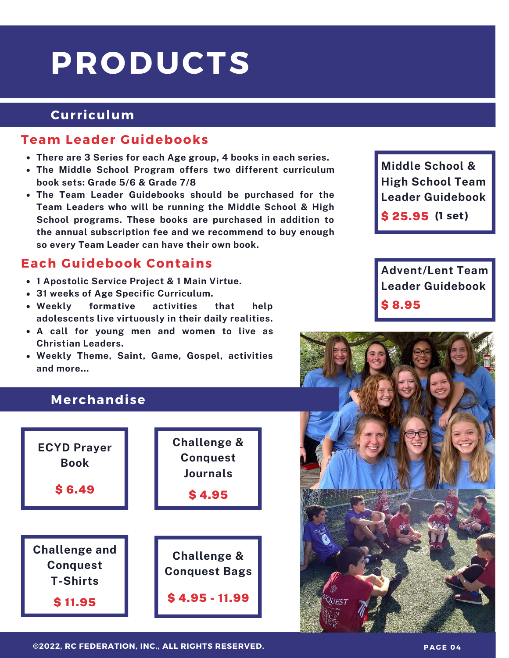## **PRODUCTS**

## **Curriculum**

### **Team Leader Guidebooks**

- **There are 3 Series for each Age group, 4 books in each series.**
- **The Middle School Program offers two different curriculum book sets: Grade 5/6 & Grade 7/8**
- **The Team Leader Guidebooks should be purchased for the Team Leaders who will be running the Middle School & High School programs. These books are purchased in addition to the annual subscription fee and we recommend to buy enough so every Team Leader can have their own book.**

## **Each Guidebook Contains**

- **1 Apostolic Service Project & 1 Main Virtue.**
- **31 weeks of Age Specific Curriculum.**
- **Weekly formative activities that help adolescents live virtuously in their daily realities.**
- **A call for young men and women to live as Christian Leaders.**
- **Weekly Theme, Saint, Game, Gospel, activities and more…**

## **Middle School & High School Team Leader Guidebook**

\$ 25.95 **(1 set)**

**Advent/Lent Team Leader Guidebook** \$ 8.95

## **Merchandise**





**©2022, RC FEDERATION, INC., ALL RIGHTS RESERVED. PAG E 0 4**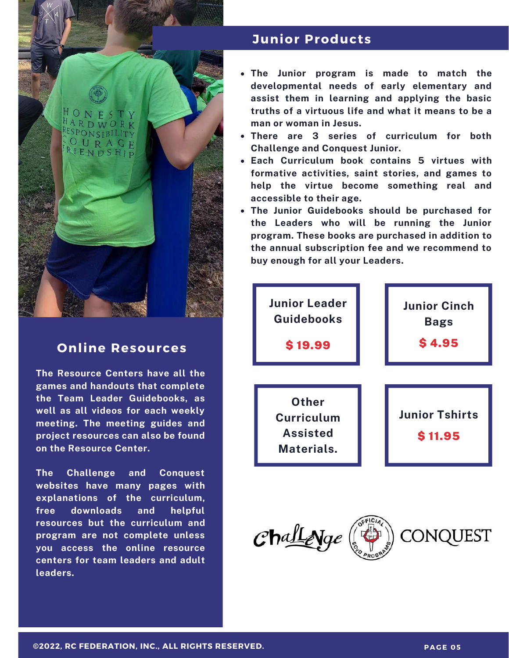

### **Online Resources**

**The Resource Centers have all the games and handouts that complete the Team Leader Guidebooks, as well as all videos for each weekly meeting. The meeting guides and project resources can also be found on the Resource Center.**

**The Challenge and Conquest websites have many pages with explanations of the curriculum, free downloads and helpful resources but the curriculum and program are not complete unless you access the online resource centers for team leaders and adult leaders.**

#### **Junior Products**

- **The Junior program is made to match the developmental needs of early elementary and assist them in learning and applying the basic truths of a virtuous life and what it means to be a man or woman in Jesus.**
- **There are 3 series of curriculum for both Challenge and Conquest Junior.**
- **Each Curriculum book contains 5 virtues with formative activities, saint stories, and games to help the virtue become something real and accessible to their age.**
- **The Junior Guidebooks should be purchased for the Leaders who will be running the Junior program. These books are purchased in addition to the annual subscription fee and we recommend to buy enough for all your Leaders.**



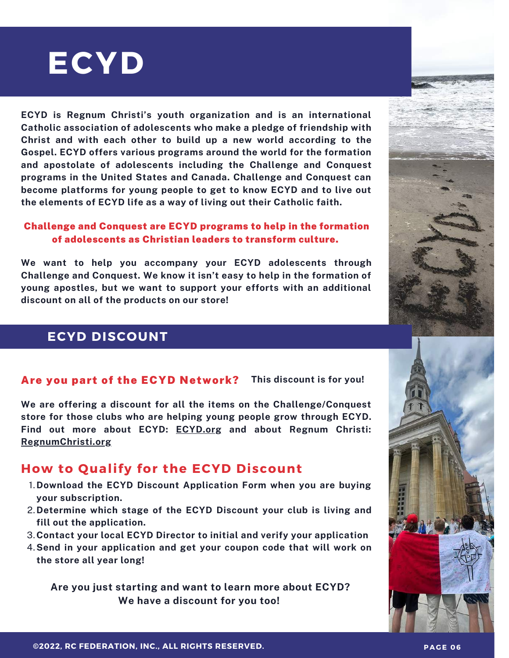# **ECYD**

**ECYD is Regnum Christi's youth organization and is an international Catholic association of adolescents who make a pledge of friendship with Christ and with each other to build up a new world according to the Gospel. ECYD offers various programs around the world for the formation and apostolate of adolescents including the Challenge and Conquest programs in the United States and Canada. Challenge and Conquest can become platforms for young people to get to know ECYD and to live out the elements of ECYD life as a way of living out their Catholic faith.**

#### Challenge and Conquest are ECYD programs to help in the formation of adolescents as Christian leaders to transform culture.

**We want to help you accompany your ECYD adolescents through Challenge and Conquest. We know it isn't easy to help in the formation of young apostles, but we want to support your efforts with an additional discount on all of the products on our store!**

### **ECYD DISCOUNT**

#### Are you part of the ECYD Network? **This discount is for you!**

**We are offering a discount for all the items on the Challenge/Conquest store for those clubs who are helping young people grow through ECYD. Find out more about ECYD: [ECYD.org](https://www.ecyd.org/) and about Regnum Christi: [RegnumChristi.org](https://www.regnumchristi.org/en/)**

## **How to Qualify for the ECYD Discount**

- **Download the ECYD Discount Application Form when you are buying** 1. **your subscription.**
- **Determine which stage of the ECYD Discount your club is living and** 2. **fill out the application.**
- **Contact your local ECYD Director to initial and verify your application** 3.
- **Send in your application and get your coupon code that will work on** 4. **the store all year long!**

**Are you just starting and want to learn more about ECYD? We have a discount for you too!**